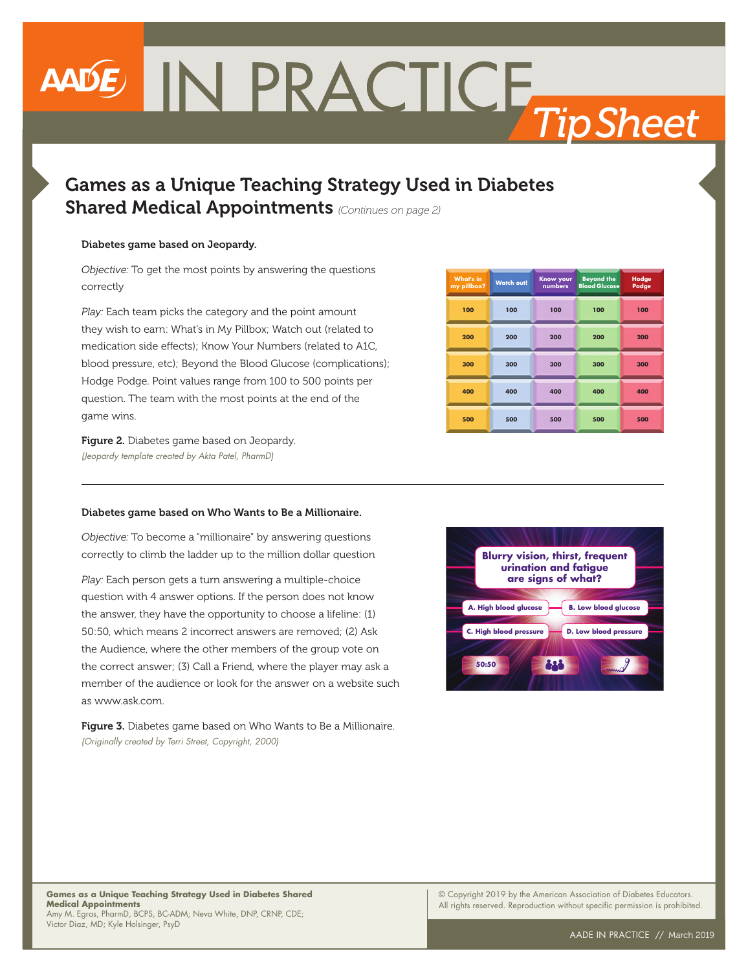# **ANDE IN PRACTICE Tip Sheet**

## Games as a Unique Teaching Strategy Used in Diabetes Shared Medical Appointments *(Continues on page 2)*

## Diabetes game based on Jeopardy.

*Objective:* To get the most points by answering the questions correctly

*Play:* Each team picks the category and the point amount they wish to earn: What's in My Pillbox; Watch out (related to medication side effects); Know Your Numbers (related to A1C, blood pressure, etc); Beyond the Blood Glucose (complications); Hodge Podge. Point values range from 100 to 500 points per question. The team with the most points at the end of the game wins.

| <b>What's in</b><br>my pillbox? | <b>Watch out!</b> | <b>Know your</b><br>numbers | <b>Beyond the</b><br><b>Blood Glucose</b> | Hodge<br>Podge |
|---------------------------------|-------------------|-----------------------------|-------------------------------------------|----------------|
| 100                             | 100               | 100                         | 100                                       | 100            |
| 200                             | 200               | 200                         | 200                                       | 200            |
| 300                             | 300               | 300                         | 300                                       | 300            |
| 400                             | 400               | 400                         | 400                                       | 400            |
| 500                             | 500               | 500                         | 500                                       | 500            |

Figure 2. Diabetes game based on Jeopardy. *(Jeopardy template created by Akta Patel, PharmD)*

## Diabetes game based on Who Wants to Be a Millionaire.

*Objective:* To become a "millionaire" by answering questions correctly to climb the ladder up to the million dollar question

*Play:* Each person gets a turn answering a multiple-choice question with 4 answer options. If the person does not know the answer, they have the opportunity to choose a lifeline: (1) 50:50, which means 2 incorrect answers are removed; (2) Ask the Audience, where the other members of the group vote on the correct answer; (3) Call a Friend, where the player may ask a member of the audience or look for the answer on a website such as www.ask.com.

Figure 3. Diabetes game based on Who Wants to Be a Millionaire. *(Originally created by Terri Street, Copyright, 2000)*



### **Games as a Unique Teaching Strategy Used in Diabetes Shared Medical Appointments** Amy M. Egras, PharmD, BCPS, BC-ADM; Neva White, DNP, CRNP, CDE; Victor Diaz, MD; Kyle Holsinger, PsyD

© Copyright 2019 by the American Association of Diabetes Educators. All rights reserved. Reproduction without specific permission is prohibited.